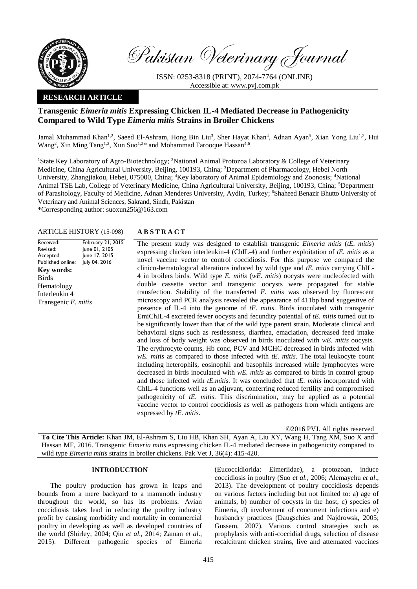

Pakistan Veterinary Journal

ISSN: 0253-8318 (PRINT), 2074-7764 (ONLINE) Accessible at: [www.pvj.com.pk](http://www.pvj.com.pk/)

## **RESEARCH ARTICLE**

# **Transgenic** *Eimeria mitis* **Expressing Chicken IL-4 Mediated Decrease in Pathogenicity Compared to Wild Type** *Eimeria mitis* **Strains in Broiler Chickens**

Jamal Muhammad Khan<sup>1,2</sup>, Saeed El-Ashram, Hong Bin Liu<sup>3</sup>, Sher Hayat Khan<sup>4</sup>, Adnan Ayan<sup>5</sup>, Xian Yong Liu<sup>1,2</sup>, Hui Wang<sup>2</sup>, Xin Ming Tang<sup>1,2</sup>, Xun Suo<sup>1,2\*</sup> and Mohammad Farooque Hassan<sup>4,6</sup>

<sup>1</sup>State Key Laboratory of Agro-Biotechnology; <sup>2</sup>National Animal Protozoa Laboratory & College of Veterinary Medicine, China Agricultural University, Beijing, 100193, China; <sup>3</sup>Department of Pharmacology, Hebei North University, Zhangjiakou, Hebei, 075000, China; <sup>4</sup>Key laboratory of Animal Epidemiology and Zoonosis; <sup>4</sup>National Animal TSE Lab, College of Veterinary Medicine, China Agricultural University, Beijing, 100193, China; <sup>5</sup>Department of Parasitology, Faculty of Medicine, Adnan Menderes University, Aydin, Turkey; <sup>6</sup>Shaheed Benazir Bhutto University of Veterinary and Animal Sciences, Sakrand, Sindh, Pakistan \*Corresponding author: suoxun256@163.com

Received: Revised: Accepted: Published online: February 21, 2015 June 01, 2105 June 17, 2015 July 04, 2016 **Key words:**  Birds Hematology Interleukin 4 Transgenic *E. mitis*

### ARTICLE HISTORY (15-098) **A B S T R A C T**

The present study was designed to establish transgenic *Eimeria mitis* (*tE. mitis*) expressing chicken interleukin-4 (ChIL-4) and further exploitation of *tE. mitis* as a novel vaccine vector to control coccidiosis. For this purpose we compared the clinico-hematological alterations induced by wild type and *tE. mitis* carrying ChIL-4 in broilers birds. Wild type *E. mitis* (*wE. mitis*) oocysts were nucleofected with double cassette vector and transgenic oocysts were propagated for stable transfection. Stability of the transfected *E. mitis* was observed by fluorescent microscopy and PCR analysis revealed the appearance of 411bp band suggestive of presence of IL-4 into the genome of *tE. mitis*. Birds inoculated with transgenic EmiChIL-4 excreted fewer oocysts and fecundity potential of *tE. mitis* turned out to be significantly lower than that of the wild type parent strain. Moderate clinical and behavioral signs such as restlessness, diarrhea, emaciation, decreased feed intake and loss of body weight was observed in birds inoculated with *wE. mitis* oocysts. The erythrocyte counts, Hb conc, PCV and MCHC decreased in birds infected with *wE. mitis* as compared to those infected with *tE. mitis*. The total leukocyte count including heterophils, eosinophil and basophils increased while lymphocytes were decreased in birds inoculated with *wE. mitis* as compared to birds in control group and those infected with *tE.mitis.* It was concluded that *tE. mitis* incorporated with ChIL-4 functions well as an adjuvant, conferring reduced fertility and compromised pathogenicity of *tE. mitis*. This discrimination, may be applied as a potential vaccine vector to control coccidiosis as well as pathogens from which antigens are expressed by *tE. mitis*.

©2016 PVJ. All rights reserved

**To Cite This Article:** Khan JM, El-Ashram S, Liu HB, Khan SH, Ayan A, Liu XY, Wang H, Tang XM, Suo X and Hassan MF, 2016. Transgenic *Eimeria mitis* expressing chicken IL-4 mediated decrease in pathogenicity compared to wild type *Eimeria mitis* strains in broiler chickens. Pak Vet J, 36(4): 415-420.

#### **INTRODUCTION**

The poultry production has grown in leaps and bounds from a mere backyard to a mammoth industry throughout the world, so has its problems. Avian coccidiosis takes lead in reducing the poultry industry profit by causing morbidity and mortality in commercial poultry in developing as well as developed countries of the world (Shirley, 2004; Qin *et al*., 2014; Zaman *et al*., 2015). Different pathogenic species of Eimeria (Eucoccidiorida: Eimeriidae), a protozoan, induce coccidiosis in poultry (Suo *et al.,* 2006; Alemayehu *et al*., 2013). The development of poultry coccidiosis depends on various factors including but not limited to: a) age of animals, b) number of oocysts in the host, c) species of Eimeria, d) involvement of concurrent infections and e) husbandry practices (Daugschies and Najdrowsk, 2005; Gussem, 2007). Various control strategies such as prophylaxis with anti-coccidial drugs, selection of disease recalcitrant chicken strains, live and attenuated vaccines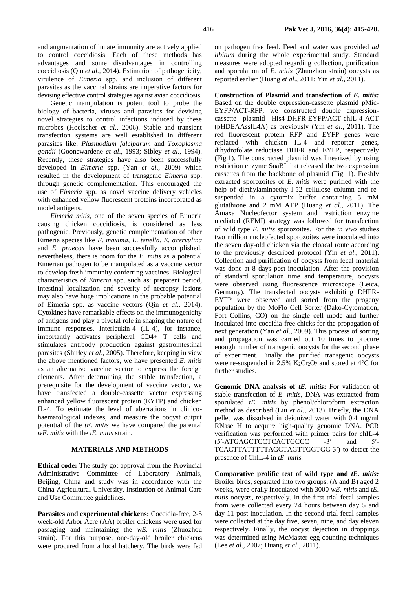and augmentation of innate immunity are actively applied to control coccidiosis. Each of these methods has advantages and some disadvantages in controlling coccidiosis (Qin *et al.,* 2014). Estimation of pathogenicity, virulence of *Eimeria* spp. and inclusion of different parasites as the vaccinal strains are imperative factors for devising effective control strategies against avian coccidiosis.

Genetic manipulation is potent tool to probe the biology of bacteria, viruses and parasites for devising novel strategies to control infections induced by these microbes (Hoelscher *et al*., 2006). Stable and transient transfection systems are well established in different parasites like: *Plasmodium falciparum* and *Toxoplasma gondii* (Goonewardene *et al*., 1993; Sibley *et al*., 1994). Recently, these strategies have also been successfully developed in *Eimeria* spp. (Yan *et al*., 2009) which resulted in the development of transgenic *Eimeria* spp. through genetic complementation. This encouraged the use of *Eimeria* spp. as novel vaccine delivery vehicles with enhanced yellow fluorescent proteins incorporated as model antigens.

*Eimeria mitis*, one of the seven species of Eimeria causing chicken coccidiosis, is considered as less pathogenic. Previously, genetic complementation of other Eimeria species like *E. maxima*, *E. tenella*, *E. acervulina* and *E. praecox* have been successfully accomplished; nevertheless, there is room for the *E. mitis* as a potential Eimerian pathogen to be manipulated as a vaccine vector to develop fresh immunity conferring vaccines. Biological characteristics of *Eimeria* spp. such as: prepatent period, intestinal localization and severity of necropsy lesions may also have huge implications in the probable potential of Eimeria spp. as vaccine vectors (Qin *et al.,* 2014). Cytokines have remarkable effects on the immunogenicity of antigens and play a pivotal role in shaping the nature of immune responses. Interleukin-4 (IL-4), for instance, importantly activates peripheral CD4+ T cells and stimulates antibody production against gastrointestinal parasites (Shirley *et al*., 2005). Therefore, keeping in view the above mentioned factors, we have presented *E. mitis* as an alternative vaccine vector to express the foreign elements. After determining the stable transfection, a prerequisite for the development of vaccine vector, we have transfected a double-cassette vector expressing enhanced yellow fluorescent protein (EYFP) and chicken IL-4. To estimate the level of aberrations in clinicohaematological indexes, and measure the oocyst output potential of the *tE. mitis* we have compared the parental *wE. mitis* with the *tE. mitis* strain.

## **MATERIALS AND METHODS**

**Ethical code:** The study got approval from the Provincial Administrative Committee of Laboratory Animals, Beijing, China and study was in accordance with the China Agricultural University, Institution of Animal Care and Use Committee guidelines.

**Parasites and experimental chickens:** Coccidia-free, 2-5 week-old Arbor Acre (AA) broiler chickens were used for passaging and maintaining the *wE. mitis* (Zhuozhou strain). For this purpose, one-day-old broiler chickens were procured from a local hatchery. The birds were fed on pathogen free feed. Feed and water was provided *ad libitum* during the whole experimental study. Standard measures were adopted regarding collection, purification and sporulation of *E. mitis* (Zhuozhou strain) oocysts as reported earlier (Huang *et al*., 2011; Yin *et al*., 2011).

**Construction of Plasmid and transfection of** *E. mitis:*  Based on the double expression-cassette plasmid pMic-EYFP/ACT-RFP, we constructed double expressioncassette plasmid His4-DHFR-EYFP/ACT-chIL-4-ACT (pHDEAAssIL4A) as previously (Yin *et al*., 2011). The red fluorescent protein RFP and EYFP genes were replaced with chicken IL-4 and reporter genes, dihydrofolate reductase DHFR and EYFP, respectively (Fig.1). The constructed plasmid was linearized by using restriction enzyme SnaBI that released the two expression cassettes from the backbone of plasmid (Fig. 1). Freshly extracted sporozoites of *E. mitis* were purified with the help of diethylaminoethy l-52 cellulose column and resuspended in a cytomix buffer containing 5 mM glutathione and 2 mM ATP (Huang *et al*., 2011). The Amaxa Nucleofector system and restriction enzyme mediated (REMI) strategy was followed for transfection of wild type *E. mitis* sporozoites. For the *in vivo* studies two million nucleofected sporozoites were inoculated into the seven day-old chicken via the cloacal route according to the previously described protocol (Yin *et al*., 2011). Collection and purification of oocysts from fecal material was done at 8 days post-inoculation. After the provision of standard sporulation time and temperature, oocysts were observed using fluorescence microscope (Leica, Germany). The transfected oocysts exhibiting DHFR-EYFP were observed and sorted from the progeny population by the MoFlo Cell Sorter (Dako-Cytomation, Fort Collins, CO) on the single cell mode and further inoculated into coccidia-free chicks for the propagation of next generation (Yan *et al*., 2009). This process of sorting and propagation was carried out 10 times to procure enough number of transgenic oocysts for the second phase of experiment. Finally the purified transgenic oocysts were re-suspended in 2.5%  $K_2Cr_2O_7$  and stored at 4°C for further studies.

**Genomic DNA analysis of** *tE. mitis***:** For validation of stable transfection of *E. mitis*, DNA was extracted from sporulated *tE. mitis* by phenol/chloroform extraction method as described (Liu *et al.*, 2013). Briefly, the DNA pellet was dissolved in deionized water with 0.4 mg/ml RNase H to acquire high-quality genomic DNA. PCR verification was performed with primer pairs for chIL-4 (5′-ATGAGCTCCTCACTGCCC -3′ and 5′- TCACTTATTTTTAGCTAGTTGGTGG-3′) to detect the presence of ChIL-4 in *tE*. *mitis.*

**Comparative prolific test of wild type and** *tE. mitis:*  Broiler birds, separated into two groups, (A and B) aged 2 weeks, were orally inoculated with 3000 *wE. mitis* and *tE. mitis* oocysts, respectively. In the first trial fecal samples from were collected every 24 hours between day 5 and day 11 post inoculation. In the second trial fecal samples were collected at the day five, seven, nine, and day eleven respectively. Finally, the oocyst dejection in droppings was determined using McMaster egg counting techniques (Lee *et al*., 2007; Huang *et al*., 2011).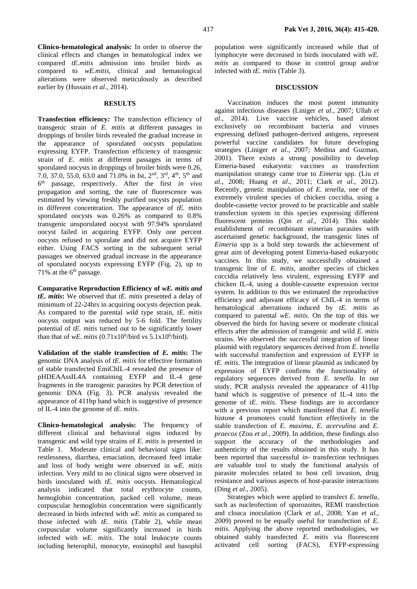#### **RESULTS**

**Transfection efficiency***:* The transfection efficiency of transgenic strain of *E. mitis* at different passages in droppings of broiler birds revealed the gradual increase in the appearance of sporulated oocysts population expressing EYFP. Transfection efficiency of transgenic strain of *E. mitis* at different passages in terms of sporulated oocysts in droppings of broiler birds were 0.26, 7.0, 37.0, 55.0, 63.0 and 71.0% in Ist, 2nd, 3rd, 4th, 5th and 6 th passage, respectively. After the first *in vivo* propagation and sorting, the rate of fluorescence was estimated by viewing freshly purified oocysts population in different concentration. The appearance of *tE. mitis* sporulated oocysts was 0.26% as compared to 0.8% transgenic unsporulated oocyst with 97.94% sporulated oocyst failed in acquiring EYFP. Only one percent oocysts refused to sporulate and did not acquire EYFP either. Using FACS sorting in the subsequent serial passages we observed gradual increase in the appearance of sporulated oocysts expressing EYFP (Fig. 2), up to  $71\%$  at the 6<sup>th</sup> passage.

**Comparative Reproduction Efficiency of** *wE. mitis and tE. mitis***:** We observed that *tE. mitis* presented a delay of minimum of 22-24hrs in acquiring oocysts dejection peak. As compared to the parental *w*ild type strain, *tE. mitis* oocysts output was reduced by 5-6 fold. The fertility potential of *tE. mitis* turned out to be significantly lower than that of *wE. mitis* (0.71x10<sup>6</sup>/bird vs 5.1x10<sup>6</sup>/bird).

**Validation of the stable transfection of** *E. mitis***:** The genomic DNA analysis of *tE. mitis* for effective formation of stable transfected EmiChIL-4 revealed the presence of pHDEAAssIL4A containing EYFP and IL-4 gene fragments in the transgenic parasites by PCR detection of genomic DNA (Fig. 3). PCR analysis revealed the appearance of 411bp band which is suggestive of presence of IL-4 into the genome of *tE. mitis*.

**Clinico-hematological analysis:** The frequency of different clinical and behavioral signs induced by transgenic and wild type strains of *E. mitis* is presented in Table 1. Moderate clinical and behavioral signs like: restlessness, diarrhea, emaciation, decreased feed intake and loss of body weight were observed in *wE. mitis* infection. Very mild to no clinical signs were observed in birds inoculated with *tE. mitis* oocysts. Hematological analysis indicated that total erythrocyte counts, hemoglobin concentration, packed cell volume, mean corpuscular hemoglobin concentration were significantly decreased in birds infected with *wE. mitis* as compared to those infected with *tE. mitis* (Table 2), while mean corpuscular volume significantly increased in birds infected with *wE. mitis*. The total leukocyte counts including heterophil, monocyte, eosinophil and basophil

population were significantly increased while that of lymphocyte were decreased in birds inoculated with *wE. mitis* as compared to those in control group and/or infected with *tE. mitis* (Table 3).

#### **DISCUSSION**

Vaccination induces the most potent immunity against infectious diseases (Liniger *et al.*, 2007; Ullah *et al*., 2014). Live vaccine vehicles, based almost exclusively on recombinant bacteria and viruses expressing defined pathogen-derived antigens, represent powerful vaccine candidates for future developing strategies (Liniger *et al.*, 2007; Medina and Guzman, 2001). There exists a strong possibility to develop Eimeria-based eukaryotic vaccines as transfection manipulation strategy came true to *Eimeria* spp. (Liu *et al*., 2008; Huang *et al*., 2011; Clark *et al*., 2012). Recently, genetic manipulation of *E. tenella*, one of the extremely virulent species of chicken coccidia, using a double-cassette vector proved to be practicable and stable transfection system in this species expressing different fluorescent proteins (Qin *et al*., 2014). This stable establishment of recombinant eimerian parasites with ascertained genetic background, the transgenic lines of *Eimeria* spp is a bold step towards the achievement of great aim of developing potent Eimeria-based eukaryotic vaccines. In this study, we successfully obtained a transgenic line of *E. mitis*, another species of chicken coccidia relatively less virulent, expressing EYFP and chicken IL-4, using a double-cassette expression vector system. In addition to this we estimated the reproductive efficiency and adjuvant efficacy of ChIL-4 in terms of hematological aberrations induced by *tE. mitis* as compared to parental *wE. mitis*. On the top of this we observed the birds for having severe or moderate clinical effects after the admission of transgenic and wild *E. mitis* strains. We observed the successful integration of linear plasmid with regulatory sequences derived from *E. tenella* with successful transfection and expression of EYFP in *tE. mitis*. The integration of linear plasmid as indicated by expression of EYFP confirms the functionality of regulatory sequences derived from *E. tenella*. In our study, PCR analysis revealed the appearance of 411bp band which is suggestive of presence of IL-4 into the genome of *tE. mitis*. These findings are in accordance with a previous report which manifested that *E. tenella* histone 4 promoters could function effectively in the stable transfection of *E. maxima*, *E. acervulina* and *E. praecox* (Zou *et al.*, 2009). In addition, these findings also support the accuracy of the methodologies and authenticity of the results obtained in this study. It has been reported that successful *in*- transfection techniques are valuable tool to study the functional analysis of parasite molecules related to host cell invasion, drug resistance and various aspects of host-parasite interactions (Ding *et al*., 2005).

Strategies which were applied to transfect *E. tenella*, such as nucleofection of sporozoites, REMI transfection and cloaca inoculation (Clark *et al.*, 2008; Yan *et al.*, 2009) proved to be equally useful for transfection of *E. mitis*. Applying the above reported methodologies, we obtained stably transfected *E. mitis* via fluorescent activated cell sorting (FACS), EYFP-expressing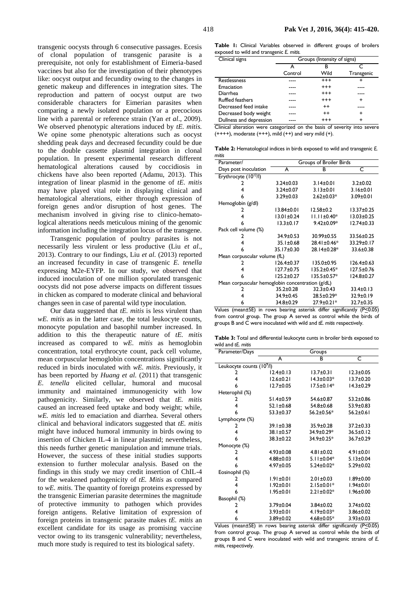transgenic oocysts through 6 consecutive passages. Ecesis of clonal population of transgenic parasite is a prerequisite, not only for establishment of Eimeria-based vaccines but also for the investigation of their phenotypes like: oocyst output and fecundity owing to the changes in genetic makeup and differences in integration sites. The reproduction and pattern of oocyst output are two considerable characters for Eimerian parasites when comparing a newly isolated population or a precocious line with a parental or reference strain (Yan *et al*., 2009). We observed phenotypic alterations induced by *tE. mitis.* We opine some phenotypic alterations such as oocyst shedding peak days and decreased fecundity could be due to the double cassette plasmid integration in clonal population. In present experimental research different hematological alterations caused by coccidiosis in chickens have also been reported (Adamu, 2013). This integration of linear plasmid in the genome of *tE. mitis* may have played vital role in displaying clinical and hematological alterations, either through expression of foreign genes and/or disruption of host genes. The mechanism involved in giving rise to clinico-hematological alterations needs meticulous mining of the genomic information including the integration locus of the transgene.

Transgenic population of poultry parasites is not necessarily less virulent or less productive (Liu *et al*., 2013). Contrary to our findings, Liu *et al.* (2013) reported an increased fecundity in case of transgenic *E. tenella* expressing M2e-EYFP. In our study, we observed that induced inoculation of one million sporulated transgenic oocysts did not pose adverse impacts on different tissues in chicken as compared to moderate clinical and behavioral changes seen in case of parental wild type inoculation.

Our data suggested that *tE. mitis* is less virulent than *wE. mitis* as in the latter case, the total leukocyte counts, monocyte population and basophil number increased. In addition to this the therapeutic nature of *tE. mitis* increased as compared to *wE. mitis* as hemoglobin concentration, total erythrocyte count, pack cell volume, mean corpuscular hemoglobin concentrations significantly reduced in birds inoculated with *wE. mitis*. Previously, it has been reported by *Huang et al.* (2011) that transgenic *E. tenella* elicited cellular, humoral and mucosal immunity and maintained immunogenicity with low pathogenicity. Similarly, we observed that *tE. mitis* caused an increased feed uptake and body weight; while, *wE. mitis* led to emaciation and diarrhea. Several others clinical and behavioral indicators suggested that *tE. mitis* might have induced humoral immunity in birds owing to insertion of Chicken IL-4 in linear plasmid; nevertheless, this needs further genetic manipulation and immune trials. However, the success of these initial studies supports extension to further molecular analysis. Based on the findings in this study we may credit insertion of ChIL-4 for the weakened pathogenicity of *tE. Mitis* as compared to *wE. mitis*. The quantity of foreign proteins expressed by the transgenic Eimerian parasite determines the magnitude of protective immunity to pathogen which provides foreign antigens. Relative limitation of expression of foreign proteins in transgenic parasite makes *tE. mitis* an excellent candidate for its usage as promising vaccine vector owing to its transgenic vulnerability; nevertheless, much more study is required to test its biological safety.

**Table 1:** Clinical Variables observed in different groups of broilers exposed to wild and transgenic *E. mitis.*

| Clinical signs          | Groups (Intensity of signs) |          |            |  |
|-------------------------|-----------------------------|----------|------------|--|
|                         |                             | в        |            |  |
|                         | Control                     | Wild     | Transgenic |  |
| Restlessness            |                             | $^{+++}$ |            |  |
| Emaciation              |                             | $^{+++}$ |            |  |
| Diarrhea                |                             | $^{+++}$ |            |  |
| <b>Ruffled feathers</b> |                             | $^{+++}$ | ٠          |  |
| Decreased feed intake   |                             | $^{++}$  |            |  |
| Decreased body weight   |                             | $^{++}$  | ÷          |  |
| Dullness and depression |                             | $^{+++}$ | ٠          |  |

Clinical alteration were categorized on the basis of severity into severe  $(++++)$ , moderate  $(+++)$ , mild  $(+)$  and very mild  $(+)$ .

**Table 2:** Hematological indices in birds exposed to wild and transgenic *E. mitis*

| Parameter/                                       | Groups of Broiler Birds |                   |                  |  |  |
|--------------------------------------------------|-------------------------|-------------------|------------------|--|--|
| Days post inoculation                            | A                       | в                 | C                |  |  |
| Erythrocyte (10 <sup>12</sup> /l)                |                         |                   |                  |  |  |
|                                                  | $3.24 \pm 0.03$         | $3.14 \pm 0.01$   | $3.2 \pm 0.02$   |  |  |
|                                                  | $3.24 \pm 0.07$         | $3.13 \pm 0.01$   | $3.16 \pm 0.01$  |  |  |
| 6                                                | $3.29 \pm 0.03$         | $2.62 \pm 0.03*$  | $3.09 \pm 0.01$  |  |  |
| Hemoglobin (g/dl)                                |                         |                   |                  |  |  |
| 2                                                | $13.84 \pm 0.01$        | $12.58 \pm 0.2$   | $13.37 \pm 0.25$ |  |  |
| 4                                                | $13.01 \pm 0.24$        | $11.11 \pm 0.40*$ | $13.03 \pm 0.25$ |  |  |
| 6                                                | $13.3 \pm 0.17$         | $9.42 \pm 0.09*$  | $12.74 \pm 0.33$ |  |  |
| Pack cell volume (%)                             |                         |                   |                  |  |  |
| 2                                                | 34.9±0.53               | 30.99±0.55        | 33.56±0.25       |  |  |
| 4                                                | 35.1±0.68               | 28.41±0.46*       | 33.29±0.17       |  |  |
| 6                                                | 35.17±0.30              | 28.14±0.28*       | 33.6±0.38        |  |  |
| Mean corpuscular volume (fL)                     |                         |                   |                  |  |  |
|                                                  | $126.4 \pm 0.37$        | $135.0 \pm 0.95$  | $126.4 \pm 0.63$ |  |  |
| 4                                                | $127.7 + 0.75$          | 135.2±0.45*       | 127.5±0.76       |  |  |
| 6                                                | $125.2 \pm 0.27$        | 135.5±0.57*       | 124.8±0.27       |  |  |
| Mean corpuscular hemoglobin concentration (g/dL) |                         |                   |                  |  |  |
| 2                                                | $35.2 \pm 0.28$         | $32.3 \pm 0.43$   | $33.4 \pm 0.13$  |  |  |
| 4                                                | 34.9±0.45               | 28.5±0.29*        | 32.9±0.19        |  |  |
| 6                                                | 34.8±0.29               | $27.9 \pm 0.21*$  | 32.7±0.35        |  |  |

Values (mean±SE) in rows bearing asterisk differ significantly (P<0.05) from control group. The group A served as control while the birds of groups B and C were inoculated with wild and *tE. mitis* respectively.

**Table 3:** Total and differential leukocyte cunts in broiler birds exposed to wild and *tE. mitis*

| Parameter/Days | Groups                                |                  |                 |  |  |
|----------------|---------------------------------------|------------------|-----------------|--|--|
|                | A                                     | в                | C               |  |  |
|                | Leukocyte counts (10 <sup>9</sup> /l) |                  |                 |  |  |
| 2              | $12.4 \pm 0.13$                       | $13.7 \pm 0.31$  | $12.3 \pm 0.05$ |  |  |
| 4              | $12.6 \pm 0.21$                       | $14.3 \pm 0.03*$ | $13.7 \pm 0.20$ |  |  |
| 6              | $12.7 \pm 0.05$                       | $17.5 \pm 0.14*$ | $14.3 \pm 0.29$ |  |  |
| Heterophil (%) |                                       |                  |                 |  |  |
| 2              | 51.4±0.59                             | 54.6±0.87        | $53.2 \pm 0.86$ |  |  |
| 4              | $52.1 \pm 0.68$                       | 54.8±0.68        | 53.9±0.83       |  |  |
| 6              | 53.3±0.37                             | 56.2±0.56*       | $56.2 \pm 0.6$  |  |  |
| Lymphocyte (%) |                                       |                  |                 |  |  |
| 2              | 39.1±0.38                             | 35.9±0.28        | $37.2 \pm 0.33$ |  |  |
| 4              | 38.1±0.57                             | 34.9±0.29*       | 36.5±0.12       |  |  |
| 6              | 38.3±0.22                             | 34.9±0.25*       | 36.7±0.29       |  |  |
| Monocyte (%)   |                                       |                  |                 |  |  |
| 2              | $4.93 \pm 0.08$                       | $4.81 \pm 0.02$  | $4.91 \pm 0.01$ |  |  |
| 4              | $4.88 \pm 0.03$                       | 5.1 $\pm$ 0.04*  | $5.13 \pm 0.04$ |  |  |
| 6              | $4.97 \pm 0.05$                       | $5.24 \pm 0.02*$ | $5.29 \pm 0.02$ |  |  |
| Eosinophil (%) |                                       |                  |                 |  |  |
| 2              | $1.91 \pm 0.01$                       | $2.01 \pm 0.03$  | $1.89 \pm 0.00$ |  |  |
| 4              | $1.92 \pm 0.01$                       | $2.15 \pm 0.01*$ | $1.94 \pm 0.01$ |  |  |
| 6              | $1.95 \pm 0.01$                       | $2.21 \pm 0.02*$ | $1.96 \pm 0.00$ |  |  |
| Basophil (%)   |                                       |                  |                 |  |  |
| 2              | 3.79±0.04                             | 3.84±0.02        | 3.74±0.02       |  |  |
| 4              | $3.93 \pm 0.01$                       | $4.19 \pm 0.03*$ | 3.86±0.02       |  |  |
| 6              | $3.89 \pm 0.02$                       | $4.68 \pm 0.05*$ | $3.93 \pm 0.03$ |  |  |

Values (mean $\pm$ SE) in rows bearing asterisk differ significantly (P $\leq$ 0.05) from control group. The group A served as control while the birds of groups B and C were inoculated with wild and transgenic strains of *E. mitis,* respectively.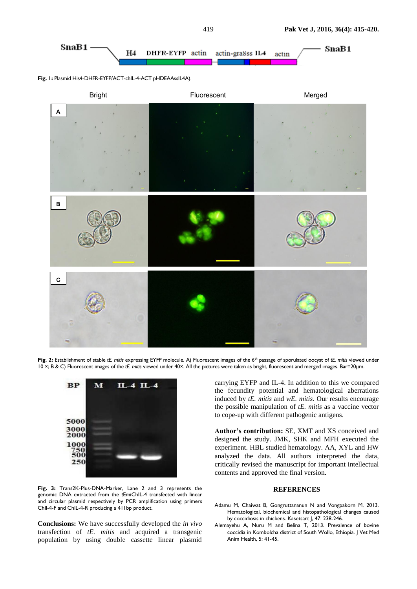

Fig. 1: Plasmid His4-DHFR-EYFP/ACT-chIL-4-ACT pHDEAAssIL4A).



Fig. 2: Establishment of stable *tE. mitis* expressing EYFP molecule. A) Fluorescent images of the 6<sup>th</sup> passage of sporulated oocyst of *tE. mitis* viewed under 10 ×; B & C) Fluorescent images of the *tE. mitis* viewed under 40×. All the pictures were taken as bright, fluorescent and merged images. Bar=20μm.



**Fig. 3:** Trans2K-Plus-DNA-Marker, Lane 2 and 3 represents the genomic DNA extracted from the *t*EmiChIL-4 transfected with linear and circular plasmid respectively by PCR amplification using primers ChIl-4-F and ChIL-4-R producing a 411bp product.

**Conclusions:** We have successfully developed the *in vivo* transfection of *tE. mitis* and acquired a transgenic population by using double cassette linear plasmid

carrying EYFP and IL-4. In addition to this we compared the fecundity potential and hematological aberrations induced by *tE. mitis* and *wE. mitis*. Our results encourage the possible manipulation of *tE. mitis* as a vaccine vector to cope-up with different pathogenic antigens.

**Author's contribution:** SE, XMT and XS conceived and designed the study. JMK, SHK and MFH executed the experiment. HBL studied hematology. AA, XYL and HW analyzed the data. All authors interpreted the data, critically revised the manuscript for important intellectual contents and approved the final version.

### **REFERENCES**

- Adamu M, Chaiwat B, Gongruttananun N and Vongpakorn M, 2013. Hematological, biochemical and histopathological changes caused by coccidiosis in chickens. Kasetsart J, 47: 238-246.
- Alemayehu A, Nuru M and Belina T, 2013. Prevalence of bovine coccidia in Kombolcha district of South Wollo, Ethiopia. J Vet Med Anim Health, 5: 41-45.